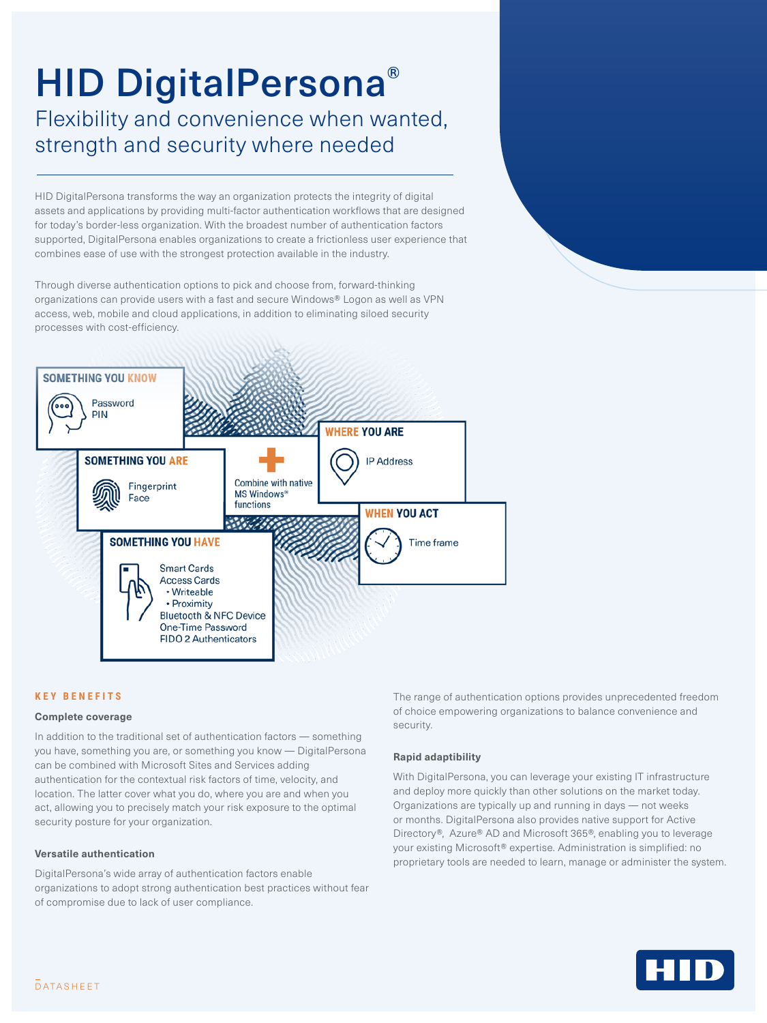# HID DigitalPersona® Flexibility and convenience when wanted, strength and security where needed

HID DigitalPersona transforms the way an organization protects the integrity of digital assets and applications by providing multi-factor authentication workflows that are designed for today's border-less organization. With the broadest number of authentication factors supported, DigitalPersona enables organizations to create a frictionless user experience that combines ease of use with the strongest protection available in the industry.

Through diverse authentication options to pick and choose from, forward-thinking organizations can provide users with a fast and secure Windows® Logon as well as VPN access, web, mobile and cloud applications, in addition to eliminating siloed security processes with cost-efficiency.



# **KEY BENEFITS**

#### **Complete coverage**

In addition to the traditional set of authentication factors — something you have, something you are, or something you know — DigitalPersona can be combined with Microsoft Sites and Services adding authentication for the contextual risk factors of time, velocity, and location. The latter cover what you do, where you are and when you act, allowing you to precisely match your risk exposure to the optimal security posture for your organization.

## **Versatile authentication**

DigitalPersona's wide array of authentication factors enable organizations to adopt strong authentication best practices without fear of compromise due to lack of user compliance.

The range of authentication options provides unprecedented freedom of choice empowering organizations to balance convenience and security.

## **Rapid adaptibility**

With DigitalPersona, you can leverage your existing IT infrastructure and deploy more quickly than other solutions on the market today. Organizations are typically up and running in days — not weeks or months. DigitalPersona also provides native support for Active Directory®, Azure® AD and Microsoft 365®, enabling you to leverage your existing Microsoft® expertise. Administration is simplified: no proprietary tools are needed to learn, manage or administer the system.